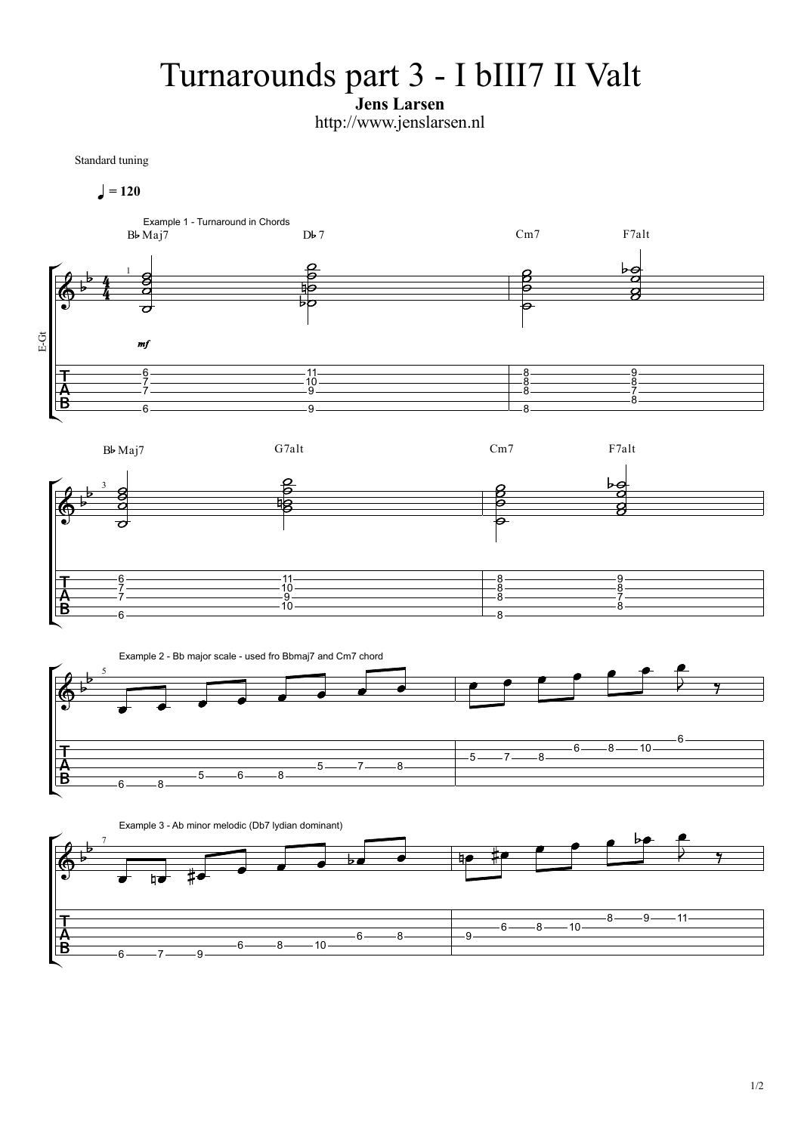## Turnarounds part 3 - I bIII7 II Valt

Jens Larsen

http://www.jenslarsen.nl

Standard tuning



 $6 \longrightarrow 7 \longrightarrow 9 \longrightarrow$ 

 $6 \longrightarrow 8 \longrightarrow 10 \longrightarrow$ 

8 9

 $-6$   $-8$   $-10$   $-8$   $-9$ 

 $-11-$